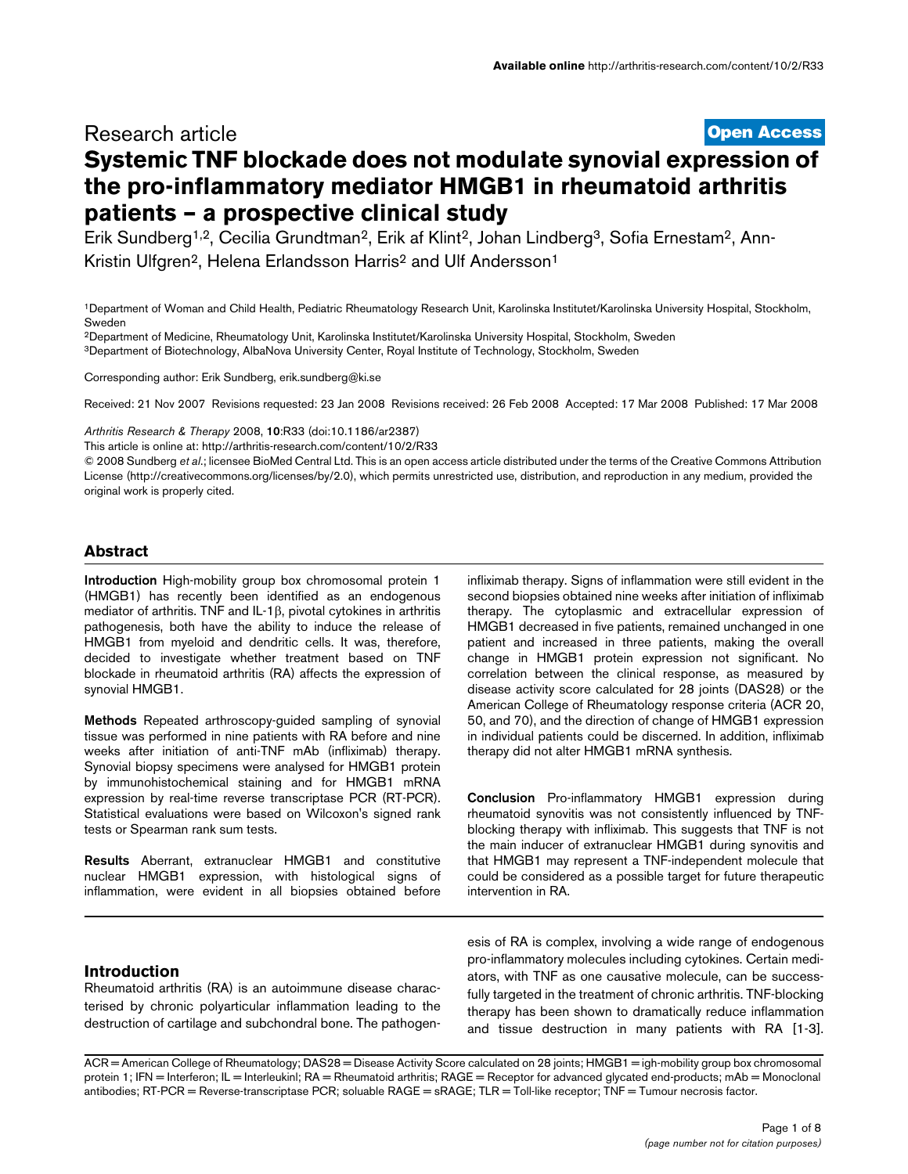# **[Open Access](http://www.biomedcentral.com/info/about/charter/)** Research article **Systemic TNF blockade does not modulate synovial expression of the pro-inflammatory mediator HMGB1 in rheumatoid arthritis patients – a prospective clinical study**

Erik Sundberg<sup>1,2</sup>, Cecilia Grundtman<sup>2</sup>, Erik af Klint<sup>2</sup>, Johan Lindberg<sup>3</sup>, Sofia Ernestam<sup>2</sup>, Ann-Kristin Ulfgren<sup>2</sup>, Helena Erlandsson Harris<sup>2</sup> and Ulf Andersson<sup>1</sup>

1Department of Woman and Child Health, Pediatric Rheumatology Research Unit, Karolinska Institutet/Karolinska University Hospital, Stockholm, Sweden

2Department of Medicine, Rheumatology Unit, Karolinska Institutet/Karolinska University Hospital, Stockholm, Sweden 3Department of Biotechnology, AlbaNova University Center, Royal Institute of Technology, Stockholm, Sweden

Corresponding author: Erik Sundberg, erik.sundberg@ki.se

Received: 21 Nov 2007 Revisions requested: 23 Jan 2008 Revisions received: 26 Feb 2008 Accepted: 17 Mar 2008 Published: 17 Mar 2008

*Arthritis Research & Therapy* 2008, **10**:R33 (doi:10.1186/ar2387)

[This article is online at: http://arthritis-research.com/content/10/2/R33](http://arthritis-research.com/content/10/2/R33)

© 2008 Sundberg *et al*.; licensee BioMed Central Ltd. This is an open access article distributed under the terms of the Creative Commons Attribution License (http://creativecommons.org/licenses/by/2.0), which permits unrestricted use, distribution, and reproduction in any medium, provided the original work is properly cited.

# **Abstract**

**Introduction** High-mobility group box chromosomal protein 1 (HMGB1) has recently been identified as an endogenous mediator of arthritis. TNF and IL-1β, pivotal cytokines in arthritis pathogenesis, both have the ability to induce the release of HMGB1 from myeloid and dendritic cells. It was, therefore, decided to investigate whether treatment based on TNF blockade in rheumatoid arthritis (RA) affects the expression of synovial HMGB1.

**Methods** Repeated arthroscopy-guided sampling of synovial tissue was performed in nine patients with RA before and nine weeks after initiation of anti-TNF mAb (infliximab) therapy. Synovial biopsy specimens were analysed for HMGB1 protein by immunohistochemical staining and for HMGB1 mRNA expression by real-time reverse transcriptase PCR (RT-PCR). Statistical evaluations were based on Wilcoxon's signed rank tests or Spearman rank sum tests.

**Results** Aberrant, extranuclear HMGB1 and constitutive nuclear HMGB1 expression, with histological signs of inflammation, were evident in all biopsies obtained before

infliximab therapy. Signs of inflammation were still evident in the second biopsies obtained nine weeks after initiation of infliximab therapy. The cytoplasmic and extracellular expression of HMGB1 decreased in five patients, remained unchanged in one patient and increased in three patients, making the overall change in HMGB1 protein expression not significant. No correlation between the clinical response, as measured by disease activity score calculated for 28 joints (DAS28) or the American College of Rheumatology response criteria (ACR 20, 50, and 70), and the direction of change of HMGB1 expression in individual patients could be discerned. In addition, infliximab therapy did not alter HMGB1 mRNA synthesis.

**Conclusion** Pro-inflammatory HMGB1 expression during rheumatoid synovitis was not consistently influenced by TNFblocking therapy with infliximab. This suggests that TNF is not the main inducer of extranuclear HMGB1 during synovitis and that HMGB1 may represent a TNF-independent molecule that could be considered as a possible target for future therapeutic intervention in RA.

## **Introduction**

Rheumatoid arthritis (RA) is an autoimmune disease characterised by chronic polyarticular inflammation leading to the destruction of cartilage and subchondral bone. The pathogen-

esis of RA is complex, involving a wide range of endogenous pro-inflammatory molecules including cytokines. Certain mediators, with TNF as one causative molecule, can be successfully targeted in the treatment of chronic arthritis. TNF-blocking therapy has been shown to dramatically reduce inflammation and tissue destruction in many patients with RA [1-3].

ACR = American College of Rheumatology; DAS28 = Disease Activity Score calculated on 28 joints; HMGB1 = igh-mobility group box chromosomal protein 1; IFN = Interferon; IL = Interleukinl; RA = Rheumatoid arthritis; RAGE = Receptor for advanced glycated end-products; mAb = Monoclonal antibodies; RT-PCR = Reverse-transcriptase PCR; soluable RAGE = sRAGE; TLR = Toll-like receptor; TNF = Tumour necrosis factor.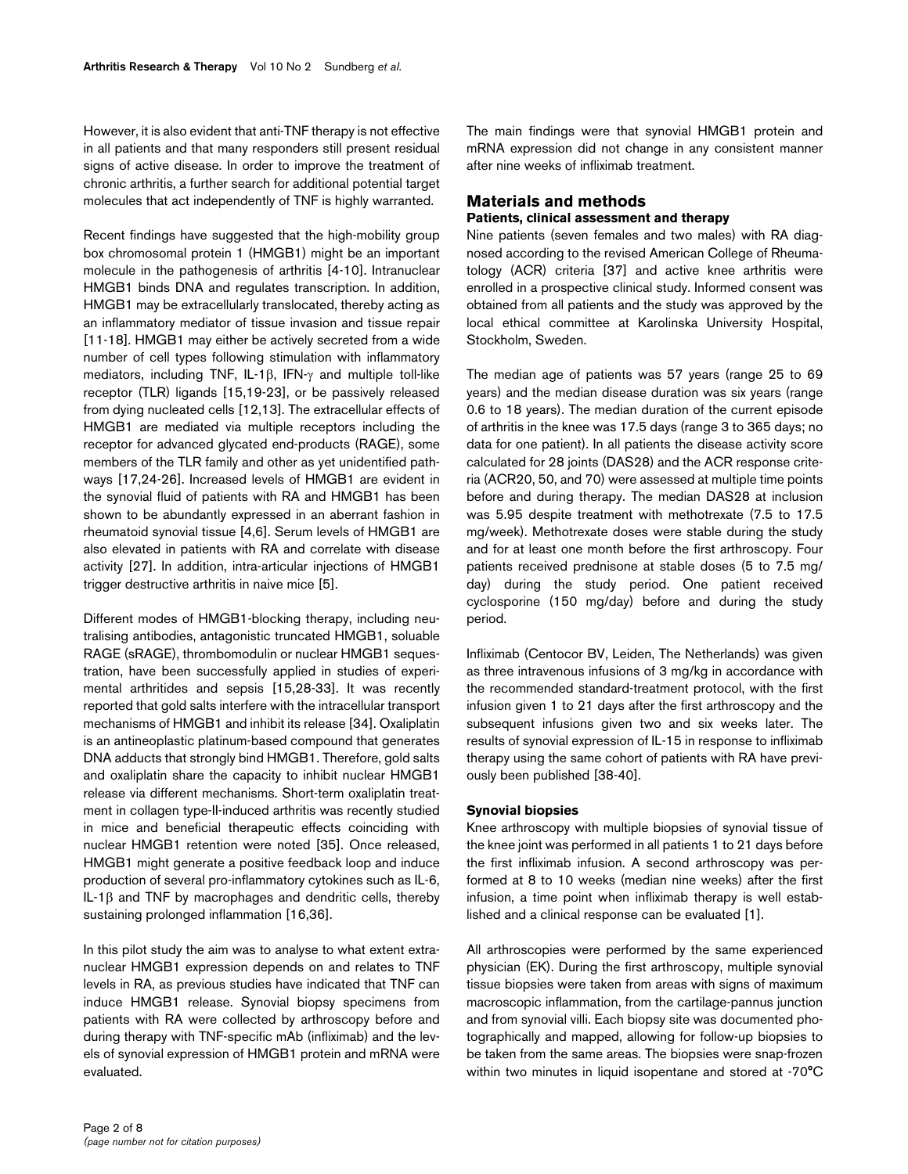However, it is also evident that anti-TNF therapy is not effective in all patients and that many responders still present residual signs of active disease. In order to improve the treatment of chronic arthritis, a further search for additional potential target molecules that act independently of TNF is highly warranted.

Recent findings have suggested that the high-mobility group box chromosomal protein 1 (HMGB1) might be an important molecule in the pathogenesis of arthritis [4-10]. Intranuclear HMGB1 binds DNA and regulates transcription. In addition, HMGB1 may be extracellularly translocated, thereby acting as an inflammatory mediator of tissue invasion and tissue repair [11-18]. HMGB1 may either be actively secreted from a wide number of cell types following stimulation with inflammatory mediators, including TNF, IL-1β, IFN-γ and multiple toll-like receptor (TLR) ligands [15,19-23], or be passively released from dying nucleated cells [12,13]. The extracellular effects of HMGB1 are mediated via multiple receptors including the receptor for advanced glycated end-products (RAGE), some members of the TLR family and other as yet unidentified pathways [17,24-26]. Increased levels of HMGB1 are evident in the synovial fluid of patients with RA and HMGB1 has been shown to be abundantly expressed in an aberrant fashion in rheumatoid synovial tissue [4,6]. Serum levels of HMGB1 are also elevated in patients with RA and correlate with disease activity [27]. In addition, intra-articular injections of HMGB1 trigger destructive arthritis in naive mice [5].

Different modes of HMGB1-blocking therapy, including neutralising antibodies, antagonistic truncated HMGB1, soluable RAGE (sRAGE), thrombomodulin or nuclear HMGB1 sequestration, have been successfully applied in studies of experimental arthritides and sepsis [15,28-33]. It was recently reported that gold salts interfere with the intracellular transport mechanisms of HMGB1 and inhibit its release [34]. Oxaliplatin is an antineoplastic platinum-based compound that generates DNA adducts that strongly bind HMGB1. Therefore, gold salts and oxaliplatin share the capacity to inhibit nuclear HMGB1 release via different mechanisms. Short-term oxaliplatin treatment in collagen type-II-induced arthritis was recently studied in mice and beneficial therapeutic effects coinciding with nuclear HMGB1 retention were noted [35]. Once released, HMGB1 might generate a positive feedback loop and induce production of several pro-inflammatory cytokines such as IL-6, IL-1β and TNF by macrophages and dendritic cells, thereby sustaining prolonged inflammation [16,36].

In this pilot study the aim was to analyse to what extent extranuclear HMGB1 expression depends on and relates to TNF levels in RA, as previous studies have indicated that TNF can induce HMGB1 release. Synovial biopsy specimens from patients with RA were collected by arthroscopy before and during therapy with TNF-specific mAb (infliximab) and the levels of synovial expression of HMGB1 protein and mRNA were evaluated.

The main findings were that synovial HMGB1 protein and mRNA expression did not change in any consistent manner after nine weeks of infliximab treatment.

# **Materials and methods**

# **Patients, clinical assessment and therapy**

Nine patients (seven females and two males) with RA diagnosed according to the revised American College of Rheumatology (ACR) criteria [37] and active knee arthritis were enrolled in a prospective clinical study. Informed consent was obtained from all patients and the study was approved by the local ethical committee at Karolinska University Hospital, Stockholm, Sweden.

The median age of patients was 57 years (range 25 to 69 years) and the median disease duration was six years (range 0.6 to 18 years). The median duration of the current episode of arthritis in the knee was 17.5 days (range 3 to 365 days; no data for one patient). In all patients the disease activity score calculated for 28 joints (DAS28) and the ACR response criteria (ACR20, 50, and 70) were assessed at multiple time points before and during therapy. The median DAS28 at inclusion was 5.95 despite treatment with methotrexate (7.5 to 17.5 mg/week). Methotrexate doses were stable during the study and for at least one month before the first arthroscopy. Four patients received prednisone at stable doses (5 to 7.5 mg/ day) during the study period. One patient received cyclosporine (150 mg/day) before and during the study period.

Infliximab (Centocor BV, Leiden, The Netherlands) was given as three intravenous infusions of 3 mg/kg in accordance with the recommended standard-treatment protocol, with the first infusion given 1 to 21 days after the first arthroscopy and the subsequent infusions given two and six weeks later. The results of synovial expression of IL-15 in response to infliximab therapy using the same cohort of patients with RA have previously been published [38-40].

#### **Synovial biopsies**

Knee arthroscopy with multiple biopsies of synovial tissue of the knee joint was performed in all patients 1 to 21 days before the first infliximab infusion. A second arthroscopy was performed at 8 to 10 weeks (median nine weeks) after the first infusion, a time point when infliximab therapy is well established and a clinical response can be evaluated [1].

All arthroscopies were performed by the same experienced physician (EK). During the first arthroscopy, multiple synovial tissue biopsies were taken from areas with signs of maximum macroscopic inflammation, from the cartilage-pannus junction and from synovial villi. Each biopsy site was documented photographically and mapped, allowing for follow-up biopsies to be taken from the same areas. The biopsies were snap-frozen within two minutes in liquid isopentane and stored at -70°C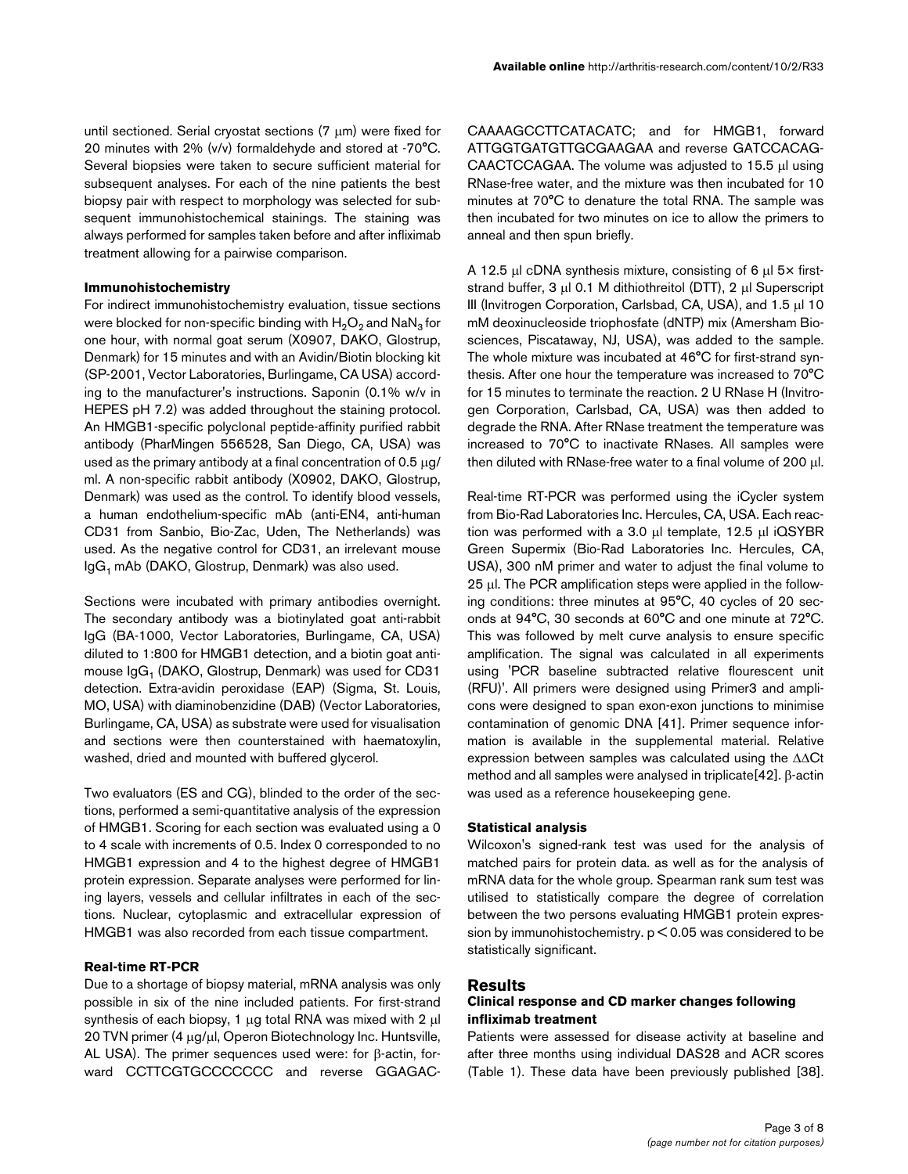until sectioned. Serial cryostat sections (7 μm) were fixed for 20 minutes with 2% (v/v) formaldehyde and stored at -70°C. Several biopsies were taken to secure sufficient material for subsequent analyses. For each of the nine patients the best biopsy pair with respect to morphology was selected for subsequent immunohistochemical stainings. The staining was always performed for samples taken before and after infliximab treatment allowing for a pairwise comparison.

### **Immunohistochemistry**

For indirect immunohistochemistry evaluation, tissue sections were blocked for non-specific binding with  $H_2O_2$  and NaN<sub>3</sub> for one hour, with normal goat serum (X0907, DAKO, Glostrup, Denmark) for 15 minutes and with an Avidin/Biotin blocking kit (SP-2001, Vector Laboratories, Burlingame, CA USA) according to the manufacturer's instructions. Saponin (0.1% w/v in HEPES pH 7.2) was added throughout the staining protocol. An HMGB1-specific polyclonal peptide-affinity purified rabbit antibody (PharMingen 556528, San Diego, CA, USA) was used as the primary antibody at a final concentration of 0.5 μg/ ml. A non-specific rabbit antibody (X0902, DAKO, Glostrup, Denmark) was used as the control. To identify blood vessels, a human endothelium-specific mAb (anti-EN4, anti-human CD31 from Sanbio, Bio-Zac, Uden, The Netherlands) was used. As the negative control for CD31, an irrelevant mouse IgG<sub>1</sub> mAb (DAKO, Glostrup, Denmark) was also used.

Sections were incubated with primary antibodies overnight. The secondary antibody was a biotinylated goat anti-rabbit IgG (BA-1000, Vector Laboratories, Burlingame, CA, USA) diluted to 1:800 for HMGB1 detection, and a biotin goat antimouse IgG<sub>1</sub> (DAKO, Glostrup, Denmark) was used for CD31 detection. Extra-avidin peroxidase (EAP) (Sigma, St. Louis, MO, USA) with diaminobenzidine (DAB) (Vector Laboratories, Burlingame, CA, USA) as substrate were used for visualisation and sections were then counterstained with haematoxylin, washed, dried and mounted with buffered glycerol.

Two evaluators (ES and CG), blinded to the order of the sections, performed a semi-quantitative analysis of the expression of HMGB1. Scoring for each section was evaluated using a 0 to 4 scale with increments of 0.5. Index 0 corresponded to no HMGB1 expression and 4 to the highest degree of HMGB1 protein expression. Separate analyses were performed for lining layers, vessels and cellular infiltrates in each of the sections. Nuclear, cytoplasmic and extracellular expression of HMGB1 was also recorded from each tissue compartment.

#### **Real-time RT-PCR**

Due to a shortage of biopsy material, mRNA analysis was only possible in six of the nine included patients. For first-strand synthesis of each biopsy, 1 μg total RNA was mixed with 2 μl 20 TVN primer (4 μg/μl, Operon Biotechnology Inc. Huntsville, AL USA). The primer sequences used were: for β-actin, forward CCTTCGTGCCCCCCC and reverse GGAGAC-

CAAAAGCCTTCATACATC; and for HMGB1, forward ATTGGTGATGTTGCGAAGAA and reverse GATCCACAG-CAACTCCAGAA. The volume was adjusted to 15.5 μl using RNase-free water, and the mixture was then incubated for 10 minutes at 70°C to denature the total RNA. The sample was then incubated for two minutes on ice to allow the primers to anneal and then spun briefly.

A 12.5 μl cDNA synthesis mixture, consisting of 6 μl 5× firststrand buffer, 3 μl 0.1 M dithiothreitol (DTT), 2 μl Superscript III (Invitrogen Corporation, Carlsbad, CA, USA), and 1.5 μl 10 mM deoxinucleoside triophosfate (dNTP) mix (Amersham Biosciences, Piscataway, NJ, USA), was added to the sample. The whole mixture was incubated at 46°C for first-strand synthesis. After one hour the temperature was increased to 70°C for 15 minutes to terminate the reaction. 2 U RNase H (Invitrogen Corporation, Carlsbad, CA, USA) was then added to degrade the RNA. After RNase treatment the temperature was increased to 70°C to inactivate RNases. All samples were then diluted with RNase-free water to a final volume of 200 μl.

Real-time RT-PCR was performed using the iCycler system from Bio-Rad Laboratories Inc. Hercules, CA, USA. Each reaction was performed with a 3.0 μl template, 12.5 μl iQSYBR Green Supermix (Bio-Rad Laboratories Inc. Hercules, CA, USA), 300 nM primer and water to adjust the final volume to 25 μl. The PCR amplification steps were applied in the following conditions: three minutes at 95°C, 40 cycles of 20 seconds at 94°C, 30 seconds at 60°C and one minute at 72°C. This was followed by melt curve analysis to ensure specific amplification. The signal was calculated in all experiments using 'PCR baseline subtracted relative flourescent unit (RFU)'. All primers were designed using Primer3 and amplicons were designed to span exon-exon junctions to minimise contamination of genomic DNA [41]. Primer sequence information is available in the supplemental material. Relative expression between samples was calculated using the ΔΔCt method and all samples were analysed in triplicate[42]. β-actin was used as a reference housekeeping gene.

#### **Statistical analysis**

Wilcoxon's signed-rank test was used for the analysis of matched pairs for protein data. as well as for the analysis of mRNA data for the whole group. Spearman rank sum test was utilised to statistically compare the degree of correlation between the two persons evaluating HMGB1 protein expression by immunohistochemistry. p < 0.05 was considered to be statistically significant.

## **Results**

## **Clinical response and CD marker changes following infliximab treatment**

Patients were assessed for disease activity at baseline and after three months using individual DAS28 and ACR scores (Table [1\)](#page-3-0). These data have been previously published [38].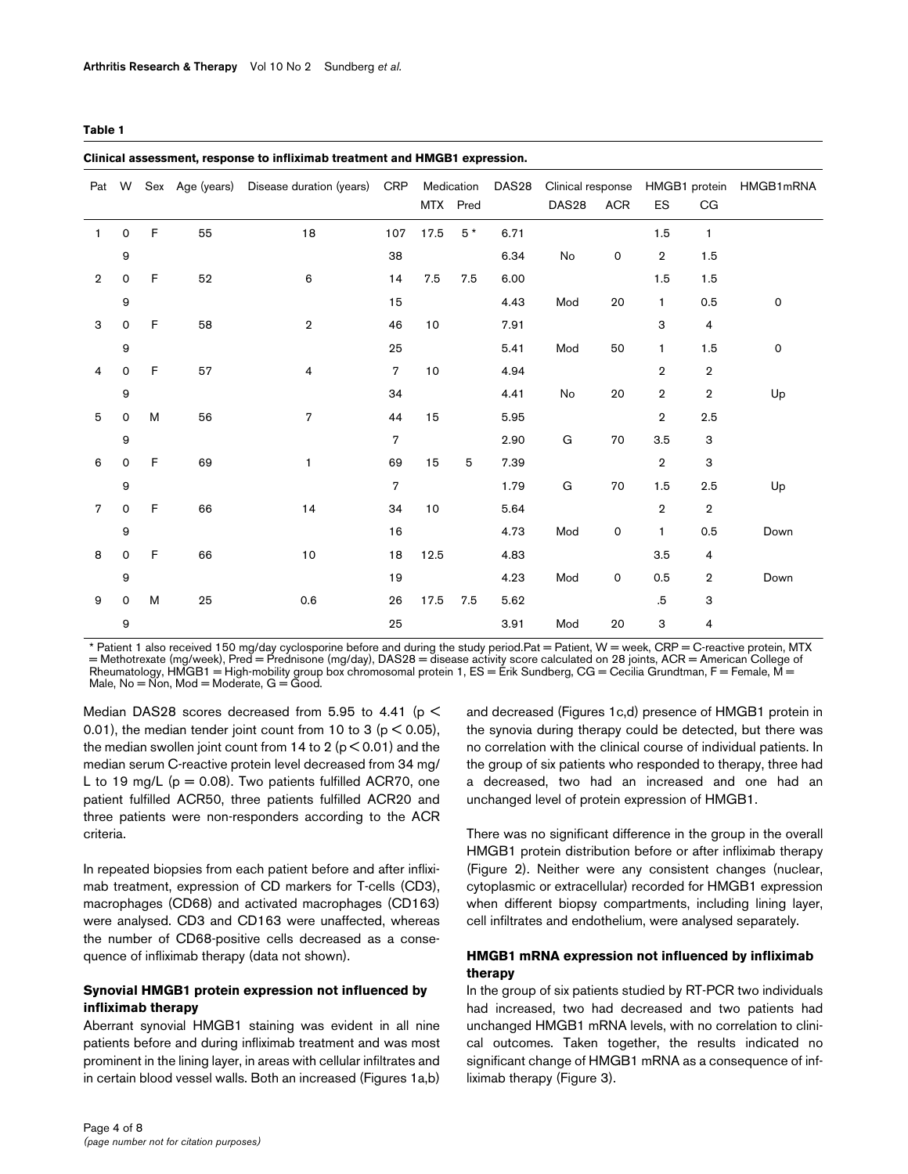#### <span id="page-3-0"></span>**Table 1**

| Cilincal assessment, response to immanitable datument and invidible expression. |                     |   |    |                                              |                |      |                        |                   |                                        |            |                |                         |                         |
|---------------------------------------------------------------------------------|---------------------|---|----|----------------------------------------------|----------------|------|------------------------|-------------------|----------------------------------------|------------|----------------|-------------------------|-------------------------|
|                                                                                 | Pat W               |   |    | Sex Age (years) Disease duration (years) CRP |                |      | Medication<br>MTX Pred | DAS <sub>28</sub> | Clinical response<br>DAS <sub>28</sub> | <b>ACR</b> | ES             | CG                      | HMGB1 protein HMGB1mRNA |
| 1                                                                               | $\mathsf{O}$        | F | 55 | 18                                           | 107            | 17.5 | $5*$                   | 6.71              |                                        |            | 1.5            | $\mathbf{1}$            |                         |
|                                                                                 | 9                   |   |    |                                              | 38             |      |                        | 6.34              | No                                     | 0          | $\mathbf 2$    | 1.5                     |                         |
| $\overline{2}$                                                                  | 0                   | F | 52 | 6                                            | 14             | 7.5  | 7.5                    | 6.00              |                                        |            | 1.5            | 1.5                     |                         |
|                                                                                 | 9                   |   |    |                                              | 15             |      |                        | 4.43              | Mod                                    | 20         | $\mathbf{1}$   | 0.5                     | 0                       |
| 3                                                                               | $\mathsf{O}\xspace$ | F | 58 | $\,2\,$                                      | 46             | 10   |                        | 7.91              |                                        |            | 3              | $\overline{\mathbf{4}}$ |                         |
|                                                                                 | 9                   |   |    |                                              | 25             |      |                        | 5.41              | Mod                                    | 50         | 1              | 1.5                     | 0                       |
| 4                                                                               | 0                   | F | 57 | 4                                            | $\overline{7}$ | 10   |                        | 4.94              |                                        |            | $\overline{2}$ | $\overline{2}$          |                         |
|                                                                                 | 9                   |   |    |                                              | 34             |      |                        | 4.41              | No                                     | 20         | $\overline{2}$ | $\overline{2}$          | Up                      |
| 5                                                                               | $\mathsf{O}\xspace$ | M | 56 | 7                                            | 44             | 15   |                        | 5.95              |                                        |            | $\overline{2}$ | 2.5                     |                         |
|                                                                                 | 9                   |   |    |                                              | $\overline{7}$ |      |                        | 2.90              | G                                      | 70         | 3.5            | 3                       |                         |
| 6                                                                               | 0                   | F | 69 | 1                                            | 69             | 15   | 5                      | 7.39              |                                        |            | $\overline{2}$ | 3                       |                         |
|                                                                                 | 9                   |   |    |                                              | $\overline{7}$ |      |                        | 1.79              | G                                      | 70         | 1.5            | 2.5                     | Up                      |
| $\overline{7}$                                                                  | $\mathsf{O}\xspace$ | F | 66 | 14                                           | 34             | 10   |                        | 5.64              |                                        |            | $\overline{2}$ | $\overline{2}$          |                         |
|                                                                                 | 9                   |   |    |                                              | 16             |      |                        | 4.73              | Mod                                    | 0          | $\mathbf{1}$   | 0.5                     | Down                    |
| 8                                                                               | $\mathsf{O}$        | F | 66 | 10                                           | 18             | 12.5 |                        | 4.83              |                                        |            | 3.5            | 4                       |                         |
|                                                                                 | 9                   |   |    |                                              | 19             |      |                        | 4.23              | Mod                                    | 0          | 0.5            | $\overline{2}$          | Down                    |
| 9                                                                               | $\mathsf{O}$        | M | 25 | 0.6                                          | 26             | 17.5 | 7.5                    | 5.62              |                                        |            | $.5\,$         | 3                       |                         |
|                                                                                 | 9                   |   |    |                                              | 25             |      |                        | 3.91              | Mod                                    | 20         | 3              | 4                       |                         |

**Clinical assessment, response to infliximab treatment and HMGB1 expression.**

\* Patient 1 also received 150 mg/day cyclosporine before and during the study period.Pat = Patient, W = week, CRP = C-reactive protein, MTX = Methotrexate (mg/week), Pred = Prednisone (mg/day), DAS28 = disease activity score calculated on 28 joints, ACR = American College of Rheumatology, HMGB1 = High-mobility group box chromosomal protein 1, ES = Érik Sundberg, CG = Cecilia Grundtman, F = Female, M = Male,  $No = \overrightarrow{Non}$ , Mod = Moderate,  $G = \overrightarrow{Good}$ .

Median DAS28 scores decreased from 5.95 to 4.41 ( $p <$ 0.01), the median tender joint count from 10 to 3 ( $p < 0.05$ ), the median swollen joint count from 14 to 2 ( $p < 0.01$ ) and the median serum C-reactive protein level decreased from 34 mg/ L to 19 mg/L ( $p = 0.08$ ). Two patients fulfilled ACR70, one patient fulfilled ACR50, three patients fulfilled ACR20 and three patients were non-responders according to the ACR criteria.

In repeated biopsies from each patient before and after infliximab treatment, expression of CD markers for T-cells (CD3), macrophages (CD68) and activated macrophages (CD163) were analysed. CD3 and CD163 were unaffected, whereas the number of CD68-positive cells decreased as a consequence of infliximab therapy (data not shown).

# **Synovial HMGB1 protein expression not influenced by infliximab therapy**

Aberrant synovial HMGB1 staining was evident in all nine patients before and during infliximab treatment and was most prominent in the lining layer, in areas with cellular infiltrates and in certain blood vessel walls. Both an increased (Figures [1a](#page-4-0),b) and decreased (Figures [1c](#page-4-0),d) presence of HMGB1 protein in the synovia during therapy could be detected, but there was no correlation with the clinical course of individual patients. In the group of six patients who responded to therapy, three had a decreased, two had an increased and one had an unchanged level of protein expression of HMGB1.

There was no significant difference in the group in the overall HMGB1 protein distribution before or after infliximab therapy (Figure [2](#page-5-0)). Neither were any consistent changes (nuclear, cytoplasmic or extracellular) recorded for HMGB1 expression when different biopsy compartments, including lining layer, cell infiltrates and endothelium, were analysed separately.

# **HMGB1 mRNA expression not influenced by infliximab therapy**

In the group of six patients studied by RT-PCR two individuals had increased, two had decreased and two patients had unchanged HMGB1 mRNA levels, with no correlation to clinical outcomes. Taken together, the results indicated no significant change of HMGB1 mRNA as a consequence of infliximab therapy (Figure 3).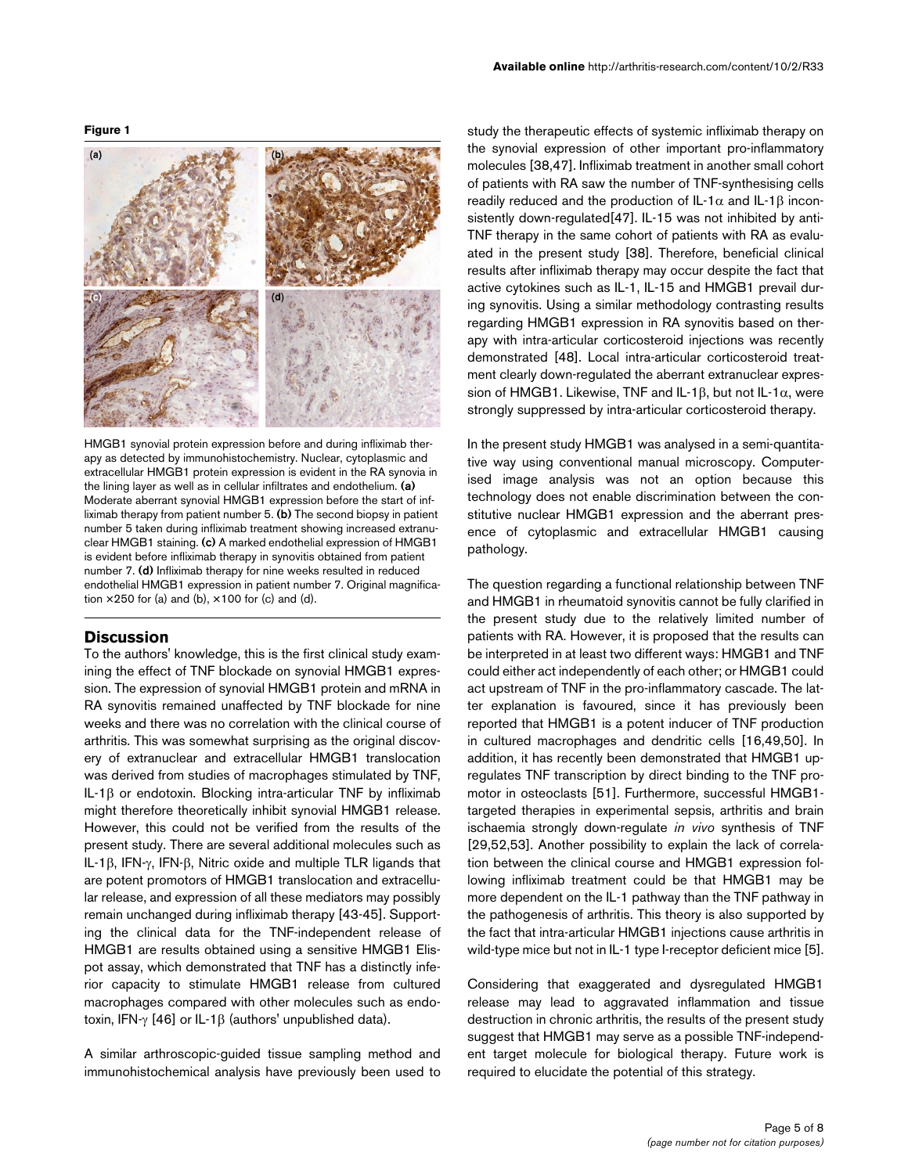#### **Figure 1**

<span id="page-4-0"></span>

HMGB1 synovial protein expression before and during infliximab therapy as detected by immunohistochemistry. Nuclear, cytoplasmic and extracellular HMGB1 protein expression is evident in the RA synovia in the lining layer as well as in cellular infiltrates and endothelium. **(a)**  Moderate aberrant synovial HMGB1 expression before the start of infliximab therapy from patient number 5. **(b)** The second biopsy in patient number 5 taken during infliximab treatment showing increased extranuclear HMGB1 staining. **(c)** A marked endothelial expression of HMGB1 is evident before infliximab therapy in synovitis obtained from patient number 7. **(d)** Infliximab therapy for nine weeks resulted in reduced endothelial HMGB1 expression in patient number 7. Original magnification  $\times$  250 for (a) and (b),  $\times$  100 for (c) and (d).

## **Discussion**

To the authors' knowledge, this is the first clinical study examining the effect of TNF blockade on synovial HMGB1 expression. The expression of synovial HMGB1 protein and mRNA in RA synovitis remained unaffected by TNF blockade for nine weeks and there was no correlation with the clinical course of arthritis. This was somewhat surprising as the original discovery of extranuclear and extracellular HMGB1 translocation was derived from studies of macrophages stimulated by TNF, IL-1β or endotoxin. Blocking intra-articular TNF by infliximab might therefore theoretically inhibit synovial HMGB1 release. However, this could not be verified from the results of the present study. There are several additional molecules such as IL-1β, IFN-γ, IFN-β, Nitric oxide and multiple TLR ligands that are potent promotors of HMGB1 translocation and extracellular release, and expression of all these mediators may possibly remain unchanged during infliximab therapy [43-45]. Supporting the clinical data for the TNF-independent release of HMGB1 are results obtained using a sensitive HMGB1 Elispot assay, which demonstrated that TNF has a distinctly inferior capacity to stimulate HMGB1 release from cultured macrophages compared with other molecules such as endotoxin, IFN-γ [46] or IL-1β (authors' unpublished data).

A similar arthroscopic-guided tissue sampling method and immunohistochemical analysis have previously been used to

study the therapeutic effects of systemic infliximab therapy on the synovial expression of other important pro-inflammatory molecules [38,47]. Infliximab treatment in another small cohort of patients with RA saw the number of TNF-synthesising cells readily reduced and the production of IL-1 $α$  and IL-1 $β$  inconsistently down-regulated[47]. IL-15 was not inhibited by anti-TNF therapy in the same cohort of patients with RA as evaluated in the present study [38]. Therefore, beneficial clinical results after infliximab therapy may occur despite the fact that active cytokines such as IL-1, IL-15 and HMGB1 prevail during synovitis. Using a similar methodology contrasting results regarding HMGB1 expression in RA synovitis based on therapy with intra-articular corticosteroid injections was recently demonstrated [48]. Local intra-articular corticosteroid treatment clearly down-regulated the aberrant extranuclear expression of HMGB1. Likewise, TNF and IL-1β, but not IL-1 $\alpha$ , were strongly suppressed by intra-articular corticosteroid therapy.

In the present study HMGB1 was analysed in a semi-quantitative way using conventional manual microscopy. Computerised image analysis was not an option because this technology does not enable discrimination between the constitutive nuclear HMGB1 expression and the aberrant presence of cytoplasmic and extracellular HMGB1 causing pathology.

The question regarding a functional relationship between TNF and HMGB1 in rheumatoid synovitis cannot be fully clarified in the present study due to the relatively limited number of patients with RA. However, it is proposed that the results can be interpreted in at least two different ways: HMGB1 and TNF could either act independently of each other; or HMGB1 could act upstream of TNF in the pro-inflammatory cascade. The latter explanation is favoured, since it has previously been reported that HMGB1 is a potent inducer of TNF production in cultured macrophages and dendritic cells [16,49,50]. In addition, it has recently been demonstrated that HMGB1 upregulates TNF transcription by direct binding to the TNF promotor in osteoclasts [51]. Furthermore, successful HMGB1 targeted therapies in experimental sepsis, arthritis and brain ischaemia strongly down-regulate *in vivo* synthesis of TNF [29,52,53]. Another possibility to explain the lack of correlation between the clinical course and HMGB1 expression following infliximab treatment could be that HMGB1 may be more dependent on the IL-1 pathway than the TNF pathway in the pathogenesis of arthritis. This theory is also supported by the fact that intra-articular HMGB1 injections cause arthritis in wild-type mice but not in IL-1 type I-receptor deficient mice [5].

Considering that exaggerated and dysregulated HMGB1 release may lead to aggravated inflammation and tissue destruction in chronic arthritis, the results of the present study suggest that HMGB1 may serve as a possible TNF-independent target molecule for biological therapy. Future work is required to elucidate the potential of this strategy.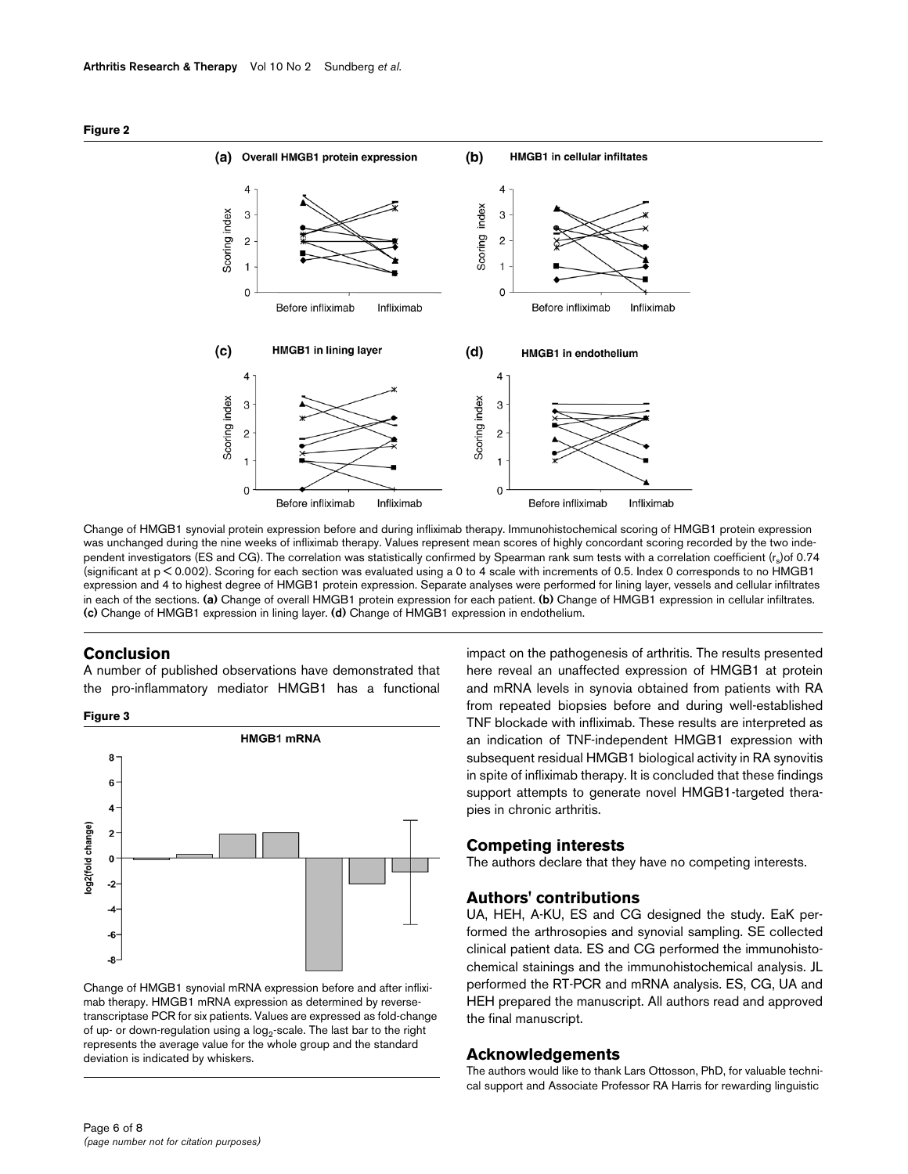<span id="page-5-0"></span>



Change of HMGB1 synovial protein expression before and during infliximab therapy. Immunohistochemical scoring of HMGB1 protein expression was unchanged during the nine weeks of infliximab therapy. Values represent mean scores of highly concordant scoring recorded by the two independent investigators (ES and CG). The correlation was statistically confirmed by Spearman rank sum tests with a correlation coefficient (rs) of 0.74 (significant at p < 0.002). Scoring for each section was evaluated using a 0 to 4 scale with increments of 0.5. Index 0 corresponds to no HMGB1 expression and 4 to highest degree of HMGB1 protein expression. Separate analyses were performed for lining layer, vessels and cellular infiltrates in each of the sections. **(a)** Change of overall HMGB1 protein expression for each patient. **(b)** Change of HMGB1 expression in cellular infiltrates. **(c)** Change of HMGB1 expression in lining layer. **(d)** Change of HMGB1 expression in endothelium.

## **Conclusion**

A number of published observations have demonstrated that the pro-inflammatory mediator HMGB1 has a functional

**Figure 3**



Change of HMGB1 synovial mRNA expression before and after infliximab therapy. HMGB1 mRNA expression as determined by reversetranscriptase PCR for six patients. Values are expressed as fold-change of up- or down-regulation using a  $log_2$ -scale. The last bar to the right represents the average value for the whole group and the standard deviation is indicated by whiskers.

impact on the pathogenesis of arthritis. The results presented here reveal an unaffected expression of HMGB1 at protein and mRNA levels in synovia obtained from patients with RA from repeated biopsies before and during well-established TNF blockade with infliximab. These results are interpreted as an indication of TNF-independent HMGB1 expression with subsequent residual HMGB1 biological activity in RA synovitis in spite of infliximab therapy. It is concluded that these findings support attempts to generate novel HMGB1-targeted therapies in chronic arthritis.

# **Competing interests**

The authors declare that they have no competing interests.

#### **Authors' contributions**

UA, HEH, A-KU, ES and CG designed the study. EaK performed the arthrosopies and synovial sampling. SE collected clinical patient data. ES and CG performed the immunohistochemical stainings and the immunohistochemical analysis. JL performed the RT-PCR and mRNA analysis. ES, CG, UA and HEH prepared the manuscript. All authors read and approved the final manuscript.

#### **Acknowledgements**

The authors would like to thank Lars Ottosson, PhD, for valuable technical support and Associate Professor RA Harris for rewarding linguistic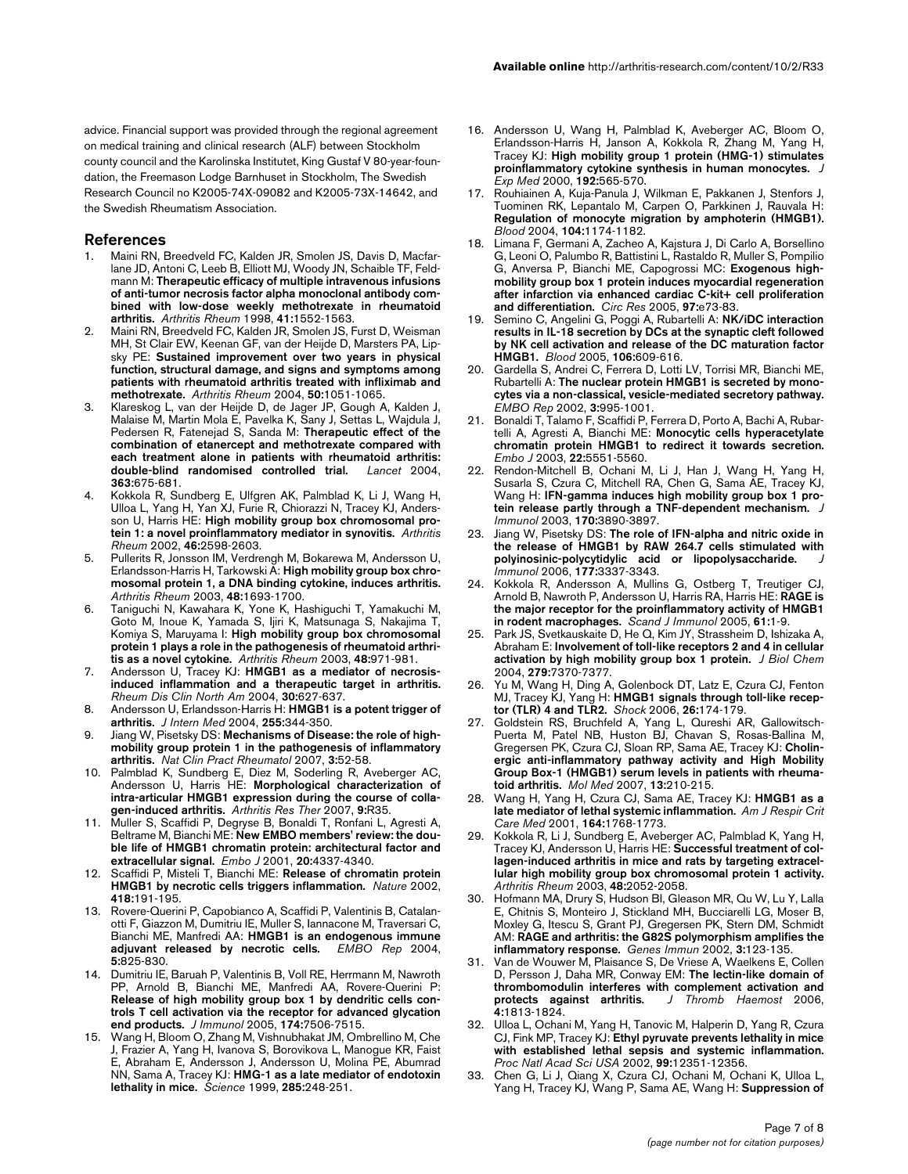advice. Financial support was provided through the regional agreement on medical training and clinical research (ALF) between Stockholm county council and the Karolinska Institutet, King Gustaf V 80-year-foundation, the Freemason Lodge Barnhuset in Stockholm, The Swedish Research Council no K2005-74X-09082 and K2005-73X-14642, and the Swedish Rheumatism Association.

#### **References**

- Maini RN, Breedveld FC, Kalden JR, Smolen JS, Davis D, Macfarlane JD, Antoni C, Leeb B, Elliott MJ, Woody JN, Schaible TF, Feldmann M: **[Therapeutic efficacy of multiple intravenous infusions](http://www.ncbi.nlm.nih.gov/entrez/query.fcgi?cmd=Retrieve&db=PubMed&dopt=Abstract&list_uids=9751087) [of anti-tumor necrosis factor alpha monoclonal antibody com](http://www.ncbi.nlm.nih.gov/entrez/query.fcgi?cmd=Retrieve&db=PubMed&dopt=Abstract&list_uids=9751087)bined with low-dose weekly methotrexate in rheumatoid [arthritis.](http://www.ncbi.nlm.nih.gov/entrez/query.fcgi?cmd=Retrieve&db=PubMed&dopt=Abstract&list_uids=9751087)** *Arthritis Rheum* 1998, **41:**1552-1563.
- 2. Maini RN, Breedveld FC, Kalden JR, Smolen JS, Furst D, Weisman MH, St Clair EW, Keenan GF, van der Heijde D, Marsters PA, Lipsky PE: **[Sustained improvement over two years in physical](http://www.ncbi.nlm.nih.gov/entrez/query.fcgi?cmd=Retrieve&db=PubMed&dopt=Abstract&list_uids=15077287) [function, structural damage, and signs and symptoms among](http://www.ncbi.nlm.nih.gov/entrez/query.fcgi?cmd=Retrieve&db=PubMed&dopt=Abstract&list_uids=15077287) patients with rheumatoid arthritis treated with infliximab and [methotrexate.](http://www.ncbi.nlm.nih.gov/entrez/query.fcgi?cmd=Retrieve&db=PubMed&dopt=Abstract&list_uids=15077287)** *Arthritis Rheum* 2004, **50:**1051-1065.
- 3. Klareskog L, van der Heijde D, de Jager JP, Gough A, Kalden J, Malaise M, Martin Mola E, Pavelka K, Sany J, Settas L, Wajdula J, Pedersen R, Fatenejad S, Sanda M: **[Therapeutic effect of the](http://www.ncbi.nlm.nih.gov/entrez/query.fcgi?cmd=Retrieve&db=PubMed&dopt=Abstract&list_uids=15001324) [combination of etanercept and methotrexate compared with](http://www.ncbi.nlm.nih.gov/entrez/query.fcgi?cmd=Retrieve&db=PubMed&dopt=Abstract&list_uids=15001324) each treatment alone in patients with rheumatoid arthritis: [double-blind randomised controlled trial.](http://www.ncbi.nlm.nih.gov/entrez/query.fcgi?cmd=Retrieve&db=PubMed&dopt=Abstract&list_uids=15001324)** *Lancet* 2004, **363:**675-681.
- 4. Kokkola R, Sundberg E, Ulfgren AK, Palmblad K, Li J, Wang H, Ulloa L, Yang H, Yan XJ, Furie R, Chiorazzi N, Tracey KJ, Andersson U, Harris HE: **[High mobility group box chromosomal pro](http://www.ncbi.nlm.nih.gov/entrez/query.fcgi?cmd=Retrieve&db=PubMed&dopt=Abstract&list_uids=12384917)[tein 1: a novel proinflammatory mediator in synovitis.](http://www.ncbi.nlm.nih.gov/entrez/query.fcgi?cmd=Retrieve&db=PubMed&dopt=Abstract&list_uids=12384917)** *Arthritis Rheum* 2002, **46:**2598-2603.
- 5. Pullerits R, Jonsson IM, Verdrengh M, Bokarewa M, Andersson U, Erlandsson-Harris H, Tarkowski A: **[High mobility group box chro](http://www.ncbi.nlm.nih.gov/entrez/query.fcgi?cmd=Retrieve&db=PubMed&dopt=Abstract&list_uids=12794838)[mosomal protein 1, a DNA binding cytokine, induces arthritis.](http://www.ncbi.nlm.nih.gov/entrez/query.fcgi?cmd=Retrieve&db=PubMed&dopt=Abstract&list_uids=12794838)** *Arthritis Rheum* 2003, **48:**1693-1700.
- 6. Taniguchi N, Kawahara K, Yone K, Hashiguchi T, Yamakuchi M, Goto M, Inoue K, Yamada S, Ijiri K, Matsunaga S, Nakajima T, Komiya S, Maruyama I: **[High mobility group box chromosomal](http://www.ncbi.nlm.nih.gov/entrez/query.fcgi?cmd=Retrieve&db=PubMed&dopt=Abstract&list_uids=12687539) [protein 1 plays a role in the pathogenesis of rheumatoid arthri](http://www.ncbi.nlm.nih.gov/entrez/query.fcgi?cmd=Retrieve&db=PubMed&dopt=Abstract&list_uids=12687539)[tis as a novel cytokine.](http://www.ncbi.nlm.nih.gov/entrez/query.fcgi?cmd=Retrieve&db=PubMed&dopt=Abstract&list_uids=12687539)** *Arthritis Rheum* 2003, **48:**971-981.
- 7. Andersson U, Tracey KJ: **[HMGB1 as a mediator of necrosis](http://www.ncbi.nlm.nih.gov/entrez/query.fcgi?cmd=Retrieve&db=PubMed&dopt=Abstract&list_uids=15261345)[induced inflammation and a therapeutic target in arthritis.](http://www.ncbi.nlm.nih.gov/entrez/query.fcgi?cmd=Retrieve&db=PubMed&dopt=Abstract&list_uids=15261345)** *Rheum Dis Clin North Am* 2004, **30:**627-637.
- 8. Andersson U, Erlandsson-Harris H: **[HMGB1 is a potent trigger of](http://www.ncbi.nlm.nih.gov/entrez/query.fcgi?cmd=Retrieve&db=PubMed&dopt=Abstract&list_uids=14871458) [arthritis.](http://www.ncbi.nlm.nih.gov/entrez/query.fcgi?cmd=Retrieve&db=PubMed&dopt=Abstract&list_uids=14871458)** *J Intern Med* 2004, **255:**344-350.
- 9. Jiang W, Pisetsky DS: **[Mechanisms of Disease: the role of high](http://www.ncbi.nlm.nih.gov/entrez/query.fcgi?cmd=Retrieve&db=PubMed&dopt=Abstract&list_uids=17203009)[mobility group protein 1 in the pathogenesis of inflammatory](http://www.ncbi.nlm.nih.gov/entrez/query.fcgi?cmd=Retrieve&db=PubMed&dopt=Abstract&list_uids=17203009) [arthritis.](http://www.ncbi.nlm.nih.gov/entrez/query.fcgi?cmd=Retrieve&db=PubMed&dopt=Abstract&list_uids=17203009)** *Nat Clin Pract Rheumatol* 2007, **3:**52-58.
- 10. Palmblad K, Sundberg E, Diez M, Soderling R, Aveberger AC, Andersson U, Harris HE: **[Morphological characterization of](http://www.ncbi.nlm.nih.gov/entrez/query.fcgi?cmd=Retrieve&db=PubMed&dopt=Abstract&list_uids=17397533) [intra-articular HMGB1 expression during the course of colla](http://www.ncbi.nlm.nih.gov/entrez/query.fcgi?cmd=Retrieve&db=PubMed&dopt=Abstract&list_uids=17397533)[gen-induced arthritis.](http://www.ncbi.nlm.nih.gov/entrez/query.fcgi?cmd=Retrieve&db=PubMed&dopt=Abstract&list_uids=17397533)** *Arthritis Res Ther* 2007, **9:**R35.
- 11. Muller S, Scaffidi P, Degryse B, Bonaldi T, Ronfani L, Agresti A, Beltrame M, Bianchi ME: **[New EMBO members' review: the dou](http://www.ncbi.nlm.nih.gov/entrez/query.fcgi?cmd=Retrieve&db=PubMed&dopt=Abstract&list_uids=11500360)[ble life of HMGB1 chromatin protein: architectural factor and](http://www.ncbi.nlm.nih.gov/entrez/query.fcgi?cmd=Retrieve&db=PubMed&dopt=Abstract&list_uids=11500360) [extracellular signal.](http://www.ncbi.nlm.nih.gov/entrez/query.fcgi?cmd=Retrieve&db=PubMed&dopt=Abstract&list_uids=11500360)** *Embo J* 2001, **20:**4337-4340.
- 12. Scaffidi P, Misteli T, Bianchi ME: **[Release of chromatin protein](http://www.ncbi.nlm.nih.gov/entrez/query.fcgi?cmd=Retrieve&db=PubMed&dopt=Abstract&list_uids=12110890) [HMGB1 by necrotic cells triggers inflammation.](http://www.ncbi.nlm.nih.gov/entrez/query.fcgi?cmd=Retrieve&db=PubMed&dopt=Abstract&list_uids=12110890)** *Nature* 2002, **418:**191-195.
- 13. Rovere-Querini P, Capobianco A, Scaffidi P, Valentinis B, Catalanotti F, Giazzon M, Dumitriu IE, Muller S, Iannacone M, Traversari C, Bianchi ME, Manfredi AA: **[HMGB1 is an endogenous immune](http://www.ncbi.nlm.nih.gov/entrez/query.fcgi?cmd=Retrieve&db=PubMed&dopt=Abstract&list_uids=15272298) [adjuvant released by necrotic cells.](http://www.ncbi.nlm.nih.gov/entrez/query.fcgi?cmd=Retrieve&db=PubMed&dopt=Abstract&list_uids=15272298)** *EMBO Rep* 2004, **5:**825-830.
- 14. Dumitriu IE, Baruah P, Valentinis B, Voll RE, Herrmann M, Nawroth PP, Arnold B, Bianchi ME, Manfredi AA, Rovere-Querini P: **Release of high mobility group box 1 by dendritic cells con[trols T cell activation via the receptor for advanced glycation](http://www.ncbi.nlm.nih.gov/entrez/query.fcgi?cmd=Retrieve&db=PubMed&dopt=Abstract&list_uids=15944249) [end products.](http://www.ncbi.nlm.nih.gov/entrez/query.fcgi?cmd=Retrieve&db=PubMed&dopt=Abstract&list_uids=15944249)** *J Immunol* 2005, **174:**7506-7515.
- 15. Wang H, Bloom O, Zhang M, Vishnubhakat JM, Ombrellino M, Che J, Frazier A, Yang H, Ivanova S, Borovikova L, Manogue KR, Faist E, Abraham E, Andersson J, Andersson U, Molina PE, Abumrad NN, Sama A, Tracey KJ: **[HMG-1 as a late mediator of endotoxin](http://www.ncbi.nlm.nih.gov/entrez/query.fcgi?cmd=Retrieve&db=PubMed&dopt=Abstract&list_uids=10398600) [lethality in mice.](http://www.ncbi.nlm.nih.gov/entrez/query.fcgi?cmd=Retrieve&db=PubMed&dopt=Abstract&list_uids=10398600)** *Science* 1999, **285:**248-251.
- 16. Andersson U, Wang H, Palmblad K, Aveberger AC, Bloom O, Erlandsson-Harris H, Janson A, Kokkola R, Zhang M, Yang H, Tracey KJ: **[High mobility group 1 protein \(HMG-1\) stimulates](http://www.ncbi.nlm.nih.gov/entrez/query.fcgi?cmd=Retrieve&db=PubMed&dopt=Abstract&list_uids=10952726) [proinflammatory cytokine synthesis in human monocytes.](http://www.ncbi.nlm.nih.gov/entrez/query.fcgi?cmd=Retrieve&db=PubMed&dopt=Abstract&list_uids=10952726)** *J Exp Med* 2000, **192:**565-570.
- Rouhiainen A, Kuja-Panula J, Wilkman E, Pakkanen J, Stenfors J, Tuominen RK, Lepantalo M, Carpen O, Parkkinen J, Rauvala H: **[Regulation of monocyte migration by amphoterin \(HMGB1\).](http://www.ncbi.nlm.nih.gov/entrez/query.fcgi?cmd=Retrieve&db=PubMed&dopt=Abstract&list_uids=15130941)** *Blood* 2004, **104:**1174-1182.
- 18. Limana F, Germani A, Zacheo A, Kajstura J, Di Carlo A, Borsellino G, Leoni O, Palumbo R, Battistini L, Rastaldo R, Muller S, Pompilio G, Anversa P, Bianchi ME, Capogrossi MC: **[Exogenous high](http://www.ncbi.nlm.nih.gov/entrez/query.fcgi?cmd=Retrieve&db=PubMed&dopt=Abstract&list_uids=16166556)[mobility group box 1 protein induces myocardial regeneration](http://www.ncbi.nlm.nih.gov/entrez/query.fcgi?cmd=Retrieve&db=PubMed&dopt=Abstract&list_uids=16166556) after infarction via enhanced cardiac C-kit+ cell proliferation [and differentiation.](http://www.ncbi.nlm.nih.gov/entrez/query.fcgi?cmd=Retrieve&db=PubMed&dopt=Abstract&list_uids=16166556)** *Circ Res* 2005, **97:**e73-83.
- 19. Semino C, Angelini G, Poggi A, Rubartelli A: **[NK/iDC interaction](http://www.ncbi.nlm.nih.gov/entrez/query.fcgi?cmd=Retrieve&db=PubMed&dopt=Abstract&list_uids=15802534) results in IL-18 secretion by DCs at the synaptic cleft followed [by NK cell activation and release of the DC maturation factor](http://www.ncbi.nlm.nih.gov/entrez/query.fcgi?cmd=Retrieve&db=PubMed&dopt=Abstract&list_uids=15802534) [HMGB1.](http://www.ncbi.nlm.nih.gov/entrez/query.fcgi?cmd=Retrieve&db=PubMed&dopt=Abstract&list_uids=15802534)** *Blood* 2005, **106:**609-616.
- Gardella S, Andrei C, Ferrera D, Lotti LV, Torrisi MR, Bianchi ME, Rubartelli A: **[The nuclear protein HMGB1 is secreted by mono](http://www.ncbi.nlm.nih.gov/entrez/query.fcgi?cmd=Retrieve&db=PubMed&dopt=Abstract&list_uids=12231511)[cytes via a non-classical, vesicle-mediated secretory pathway.](http://www.ncbi.nlm.nih.gov/entrez/query.fcgi?cmd=Retrieve&db=PubMed&dopt=Abstract&list_uids=12231511)** *EMBO Rep* 2002, **3:**995-1001.
- 21. Bonaldi T, Talamo F, Scaffidi P, Ferrera D, Porto A, Bachi A, Rubartelli A, Agresti A, Bianchi ME: **[Monocytic cells hyperacetylate](http://www.ncbi.nlm.nih.gov/entrez/query.fcgi?cmd=Retrieve&db=PubMed&dopt=Abstract&list_uids=14532127) [chromatin protein HMGB1 to redirect it towards secretion.](http://www.ncbi.nlm.nih.gov/entrez/query.fcgi?cmd=Retrieve&db=PubMed&dopt=Abstract&list_uids=14532127)** *Embo J* 2003, **22:**5551-5560.
- 22. Rendon-Mitchell B, Ochani M, Li J, Han J, Wang H, Yang H, Susarla S, Czura C, Mitchell RA, Chen G, Sama AE, Tracey KJ, Wang H: **[IFN-gamma induces high mobility group box 1 pro](http://www.ncbi.nlm.nih.gov/entrez/query.fcgi?cmd=Retrieve&db=PubMed&dopt=Abstract&list_uids=12646658)[tein release partly through a TNF-dependent mechanism.](http://www.ncbi.nlm.nih.gov/entrez/query.fcgi?cmd=Retrieve&db=PubMed&dopt=Abstract&list_uids=12646658)** *J Immunol* 2003, **170:**3890-3897.
- 23. Jiang W, Pisetsky DS: **[The role of IFN-alpha and nitric oxide in](http://www.ncbi.nlm.nih.gov/entrez/query.fcgi?cmd=Retrieve&db=PubMed&dopt=Abstract&list_uids=16920974) [the release of HMGB1 by RAW 264.7 cells stimulated with](http://www.ncbi.nlm.nih.gov/entrez/query.fcgi?cmd=Retrieve&db=PubMed&dopt=Abstract&list_uids=16920974) [polyinosinic-polycytidylic acid or lipopolysaccharide.](http://www.ncbi.nlm.nih.gov/entrez/query.fcgi?cmd=Retrieve&db=PubMed&dopt=Abstract&list_uids=16920974)** *J Immunol* 2006, **177:**3337-3343.
- 24. Kokkola R, Andersson A, Mullins G, Ostberg T, Treutiger CJ, Arnold B, Nawroth P, Andersson U, Harris RA, Harris HE: **[RAGE is](http://www.ncbi.nlm.nih.gov/entrez/query.fcgi?cmd=Retrieve&db=PubMed&dopt=Abstract&list_uids=15644117) [the major receptor for the proinflammatory activity of HMGB1](http://www.ncbi.nlm.nih.gov/entrez/query.fcgi?cmd=Retrieve&db=PubMed&dopt=Abstract&list_uids=15644117) [in rodent macrophages.](http://www.ncbi.nlm.nih.gov/entrez/query.fcgi?cmd=Retrieve&db=PubMed&dopt=Abstract&list_uids=15644117)** *Scand J Immunol* 2005, **61:**1-9.
- 25. Park JS, Svetkauskaite D, He Q, Kim JY, Strassheim D, Ishizaka A, Abraham E: **[Involvement of toll-like receptors 2 and 4 in cellular](http://www.ncbi.nlm.nih.gov/entrez/query.fcgi?cmd=Retrieve&db=PubMed&dopt=Abstract&list_uids=14660645) [activation by high mobility group box 1 protein.](http://www.ncbi.nlm.nih.gov/entrez/query.fcgi?cmd=Retrieve&db=PubMed&dopt=Abstract&list_uids=14660645)** *J Biol Chem* 2004, **279:**7370-7377.
- 26. Yu M, Wang H, Ding A, Golenbock DT, Latz E, Czura CJ, Fenton MJ, Tracey KJ, Yang H: **[HMGB1 signals through toll-like recep](http://www.ncbi.nlm.nih.gov/entrez/query.fcgi?cmd=Retrieve&db=PubMed&dopt=Abstract&list_uids=16878026)[tor \(TLR\) 4 and TLR2.](http://www.ncbi.nlm.nih.gov/entrez/query.fcgi?cmd=Retrieve&db=PubMed&dopt=Abstract&list_uids=16878026)** *Shock* 2006, **26:**174-179.
- 27. Goldstein RS, Bruchfeld A, Yang L, Qureshi AR, Gallowitsch-Puerta M, Patel NB, Huston BJ, Chavan S, Rosas-Ballina M, Gregersen PK, Czura CJ, Sloan RP, Sama AE, Tracey KJ: **[Cholin](http://www.ncbi.nlm.nih.gov/entrez/query.fcgi?cmd=Retrieve&db=PubMed&dopt=Abstract&list_uids=17597834)[ergic anti-inflammatory pathway activity and High Mobility](http://www.ncbi.nlm.nih.gov/entrez/query.fcgi?cmd=Retrieve&db=PubMed&dopt=Abstract&list_uids=17597834) Group Box-1 (HMGB1) serum levels in patients with rheuma[toid arthritis.](http://www.ncbi.nlm.nih.gov/entrez/query.fcgi?cmd=Retrieve&db=PubMed&dopt=Abstract&list_uids=17597834)** *Mol Med* 2007, **13:**210-215.
- 28. Wang H, Yang H, Czura CJ, Sama AE, Tracey KJ: **[HMGB1 as a](http://www.ncbi.nlm.nih.gov/entrez/query.fcgi?cmd=Retrieve&db=PubMed&dopt=Abstract&list_uids=11734424) [late mediator of lethal systemic inflammation.](http://www.ncbi.nlm.nih.gov/entrez/query.fcgi?cmd=Retrieve&db=PubMed&dopt=Abstract&list_uids=11734424)** *Am J Respir Crit Care Med* 2001, **164:**1768-1773.
- Kokkola R, Li J, Sundberg E, Aveberger AC, Palmblad K, Yang H, Tracey KJ, Andersson U, Harris HE: **[Successful treatment of col](http://www.ncbi.nlm.nih.gov/entrez/query.fcgi?cmd=Retrieve&db=PubMed&dopt=Abstract&list_uids=12847700)[lagen-induced arthritis in mice and rats by targeting extracel](http://www.ncbi.nlm.nih.gov/entrez/query.fcgi?cmd=Retrieve&db=PubMed&dopt=Abstract&list_uids=12847700)lular high mobility group box chromosomal protein 1 activity.** *Arthritis Rheum* 2003, **48:**2052-2058.
- 30. Hofmann MA, Drury S, Hudson BI, Gleason MR, Qu W, Lu Y, Lalla E, Chitnis S, Monteiro J, Stickland MH, Bucciarelli LG, Moser B, Moxley G, Itescu S, Grant PJ, Gregersen PK, Stern DM, Schmidt AM: **[RAGE and arthritis: the G82S polymorphism amplifies the](http://www.ncbi.nlm.nih.gov/entrez/query.fcgi?cmd=Retrieve&db=PubMed&dopt=Abstract&list_uids=12070776) [inflammatory response.](http://www.ncbi.nlm.nih.gov/entrez/query.fcgi?cmd=Retrieve&db=PubMed&dopt=Abstract&list_uids=12070776)** *Genes Immun* 2002, **3:**123-135.
- Van de Wouwer M, Plaisance S, De Vriese A, Waelkens E, Collen D, Persson J, Daha MR, Conway EM: **[The lectin-like domain of](http://www.ncbi.nlm.nih.gov/entrez/query.fcgi?cmd=Retrieve&db=PubMed&dopt=Abstract&list_uids=16879225) [thrombomodulin interferes with complement activation and](http://www.ncbi.nlm.nih.gov/entrez/query.fcgi?cmd=Retrieve&db=PubMed&dopt=Abstract&list_uids=16879225) [protects against arthritis.](http://www.ncbi.nlm.nih.gov/entrez/query.fcgi?cmd=Retrieve&db=PubMed&dopt=Abstract&list_uids=16879225)** *J Thromb Haemost* 2006, **4:**1813-1824.
- 32. Ulloa L, Ochani M, Yang H, Tanovic M, Halperin D, Yang R, Czura CJ, Fink MP, Tracey KJ: **[Ethyl pyruvate prevents lethality in mice](http://www.ncbi.nlm.nih.gov/entrez/query.fcgi?cmd=Retrieve&db=PubMed&dopt=Abstract&list_uids=12209006) [with established lethal sepsis and systemic inflammation.](http://www.ncbi.nlm.nih.gov/entrez/query.fcgi?cmd=Retrieve&db=PubMed&dopt=Abstract&list_uids=12209006)** *Proc Natl Acad Sci USA* 2002, **99:**12351-12356.
- 33. Chen G, Li J, Qiang X, Czura CJ, Ochani M, Ochani K, Ulloa L, Yang H, Tracey KJ, Wang P, Sama AE, Wang H: **[Suppression of](http://www.ncbi.nlm.nih.gov/entrez/query.fcgi?cmd=Retrieve&db=PubMed&dopt=Abstract&list_uids=15687351)**